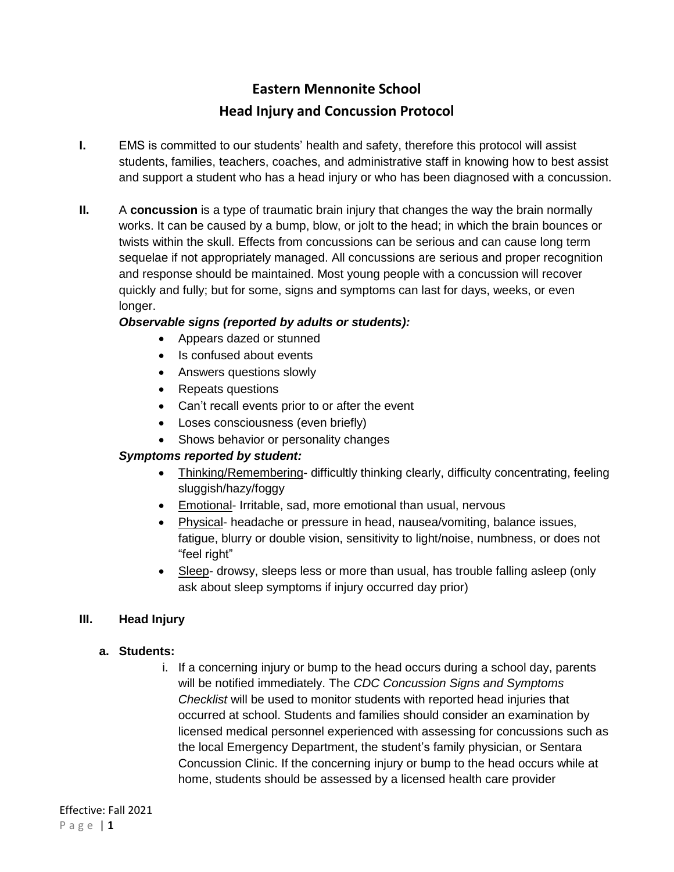# **Eastern Mennonite School Head Injury and Concussion Protocol**

- **I.** EMS is committed to our students' health and safety, therefore this protocol will assist students, families, teachers, coaches, and administrative staff in knowing how to best assist and support a student who has a head injury or who has been diagnosed with a concussion.
- **II.** A concussion is a type of traumatic brain injury that changes the way the brain normally works. It can be caused by a bump, blow, or jolt to the head; in which the brain bounces or twists within the skull. Effects from concussions can be serious and can cause long term sequelae if not appropriately managed. All concussions are serious and proper recognition and response should be maintained. Most young people with a concussion will recover quickly and fully; but for some, signs and symptoms can last for days, weeks, or even longer.

## *Observable signs (reported by adults or students):*

- Appears dazed or stunned
- Is confused about events
- Answers questions slowly
- Repeats questions
- Can't recall events prior to or after the event
- Loses consciousness (even briefly)
- Shows behavior or personality changes

#### *Symptoms reported by student:*

- Thinking/Remembering- difficultly thinking clearly, difficulty concentrating, feeling sluggish/hazy/foggy
- Emotional- Irritable, sad, more emotional than usual, nervous
- Physical- headache or pressure in head, nausea/vomiting, balance issues, fatigue, blurry or double vision, sensitivity to light/noise, numbness, or does not "feel right"
- Sleep- drowsy, sleeps less or more than usual, has trouble falling asleep (only ask about sleep symptoms if injury occurred day prior)

#### **III. Head Injury**

#### **a. Students:**

i. If a concerning injury or bump to the head occurs during a school day, parents will be notified immediately. The *CDC Concussion Signs and Symptoms Checklist* will be used to monitor students with reported head injuries that occurred at school. Students and families should consider an examination by licensed medical personnel experienced with assessing for concussions such as the local Emergency Department, the student's family physician, or Sentara Concussion Clinic. If the concerning injury or bump to the head occurs while at home, students should be assessed by a licensed health care provider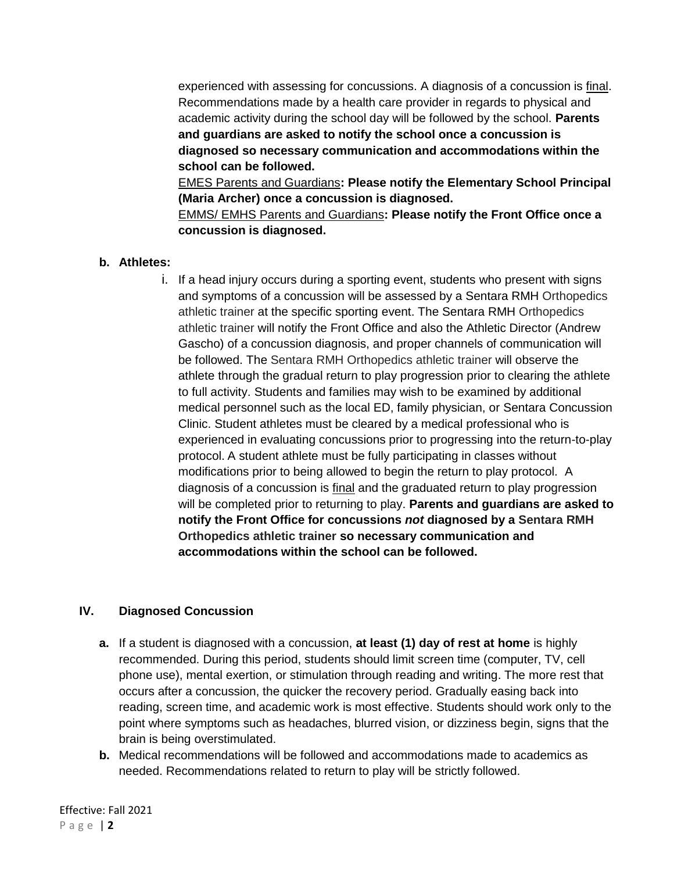experienced with assessing for concussions. A diagnosis of a concussion is final. Recommendations made by a health care provider in regards to physical and academic activity during the school day will be followed by the school. **Parents and guardians are asked to notify the school once a concussion is diagnosed so necessary communication and accommodations within the school can be followed.**

EMES Parents and Guardians**: Please notify the Elementary School Principal (Maria Archer) once a concussion is diagnosed.**

EMMS/ EMHS Parents and Guardians**: Please notify the Front Office once a concussion is diagnosed.**

## **b. Athletes:**

i. If a head injury occurs during a sporting event, students who present with signs and symptoms of a concussion will be assessed by a Sentara RMH Orthopedics athletic trainer at the specific sporting event. The Sentara RMH Orthopedics athletic trainer will notify the Front Office and also the Athletic Director (Andrew Gascho) of a concussion diagnosis, and proper channels of communication will be followed. The Sentara RMH Orthopedics athletic trainer will observe the athlete through the gradual return to play progression prior to clearing the athlete to full activity. Students and families may wish to be examined by additional medical personnel such as the local ED, family physician, or Sentara Concussion Clinic. Student athletes must be cleared by a medical professional who is experienced in evaluating concussions prior to progressing into the return-to-play protocol. A student athlete must be fully participating in classes without modifications prior to being allowed to begin the return to play protocol. A diagnosis of a concussion is final and the graduated return to play progression will be completed prior to returning to play. **Parents and guardians are asked to notify the Front Office for concussions** *not* **diagnosed by a Sentara RMH Orthopedics athletic trainer so necessary communication and accommodations within the school can be followed.**

## **IV. Diagnosed Concussion**

- **a.** If a student is diagnosed with a concussion, **at least (1) day of rest at home** is highly recommended. During this period, students should limit screen time (computer, TV, cell phone use), mental exertion, or stimulation through reading and writing. The more rest that occurs after a concussion, the quicker the recovery period. Gradually easing back into reading, screen time, and academic work is most effective. Students should work only to the point where symptoms such as headaches, blurred vision, or dizziness begin, signs that the brain is being overstimulated.
- **b.** Medical recommendations will be followed and accommodations made to academics as needed. Recommendations related to return to play will be strictly followed.